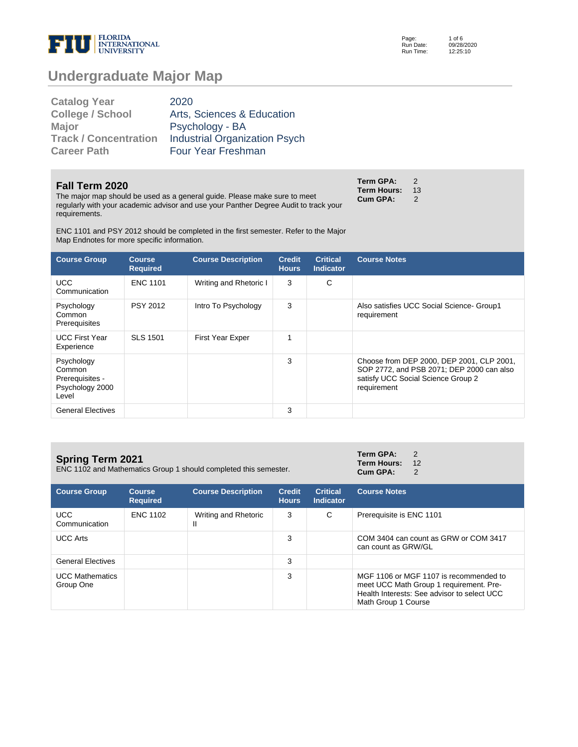

Page: Run Date: Run Time: 09/28/2020 12:25:10

# **Undergraduate Major Map**

| 2020                                 |
|--------------------------------------|
| Arts, Sciences & Education           |
| Psychology - BA                      |
| <b>Industrial Organization Psych</b> |
| Four Year Freshman                   |
|                                      |

#### **Fall Term 2020**

The major map should be used as a general guide. Please make sure to meet regularly with your academic advisor and use your Panther Degree Audit to track your requirements.

**Term GPA:** 2 **Term Hours: 13<br>Cum GPA: 2 Cum GPA:** 

ENC 1101 and PSY 2012 should be completed in the first semester. Refer to the Major Map Endnotes for more specific information.

| <b>Course Group</b>                                                 | <b>Course</b><br><b>Required</b> | <b>Course Description</b> | <b>Credit</b><br><b>Hours</b> | <b>Critical</b><br><b>Indicator</b> | <b>Course Notes</b>                                                                                                                         |
|---------------------------------------------------------------------|----------------------------------|---------------------------|-------------------------------|-------------------------------------|---------------------------------------------------------------------------------------------------------------------------------------------|
| UCC.<br>Communication                                               | <b>ENC 1101</b>                  | Writing and Rhetoric I    | 3                             | C                                   |                                                                                                                                             |
| Psychology<br>Common<br>Prerequisites                               | <b>PSY 2012</b>                  | Intro To Psychology       | 3                             |                                     | Also satisfies UCC Social Science- Group1<br>requirement                                                                                    |
| <b>UCC First Year</b><br>Experience                                 | <b>SLS 1501</b>                  | <b>First Year Exper</b>   | 1                             |                                     |                                                                                                                                             |
| Psychology<br>Common<br>Prerequisites -<br>Psychology 2000<br>Level |                                  |                           | 3                             |                                     | Choose from DEP 2000, DEP 2001, CLP 2001,<br>SOP 2772, and PSB 2071; DEP 2000 can also<br>satisfy UCC Social Science Group 2<br>requirement |
| <b>General Electives</b>                                            |                                  |                           | 3                             |                                     |                                                                                                                                             |

| <b>Spring Term 2021</b><br>ENC 1102 and Mathematics Group 1 should completed this semester. |                                  |                           |                               | Term GPA:<br>Term Hours: 12<br>Cum GPA: | $\overline{2}$<br>$\mathcal{P}$ |  |
|---------------------------------------------------------------------------------------------|----------------------------------|---------------------------|-------------------------------|-----------------------------------------|---------------------------------|--|
| <b>Course Group</b>                                                                         | <b>Course</b><br><b>Required</b> | <b>Course Description</b> | <b>Credit</b><br><b>Hours</b> | <b>Critical</b><br><b>Indicator</b>     | <b>Course Notes</b>             |  |

| <b>Course Group</b>                 | course<br><b>Required</b> | <b>Course Description</b> | Urealt<br><b>Hours</b> | Critical<br><b>Indicator</b> | <b>Course Notes</b>                                                                                                                                     |
|-------------------------------------|---------------------------|---------------------------|------------------------|------------------------------|---------------------------------------------------------------------------------------------------------------------------------------------------------|
| UCC.<br>Communication               | <b>ENC 1102</b>           | Writing and Rhetoric<br>Ш | 3                      | C                            | Prerequisite is ENC 1101                                                                                                                                |
| <b>UCC Arts</b>                     |                           |                           | 3                      |                              | COM 3404 can count as GRW or COM 3417<br>can count as GRW/GL                                                                                            |
| <b>General Electives</b>            |                           |                           | 3                      |                              |                                                                                                                                                         |
| <b>UCC Mathematics</b><br>Group One |                           |                           | 3                      |                              | MGF 1106 or MGF 1107 is recommended to<br>meet UCC Math Group 1 requirement. Pre-<br>Health Interests: See advisor to select UCC<br>Math Group 1 Course |

1 of 6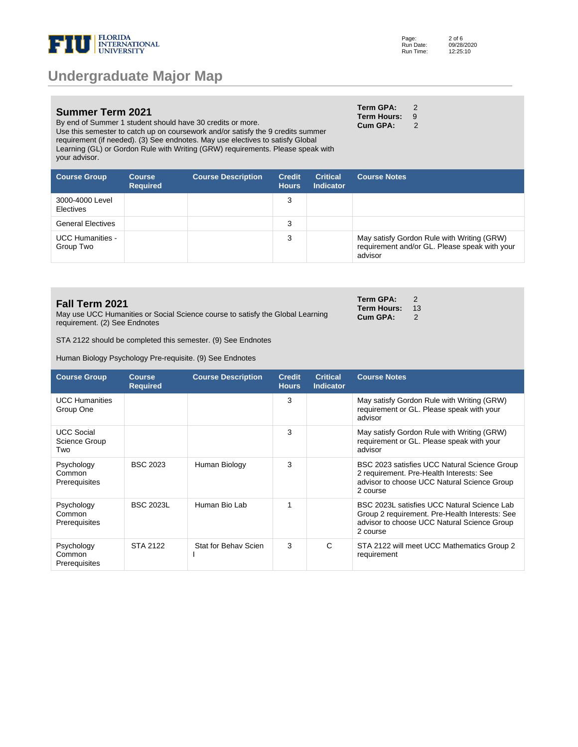

#### **Summer Term 2021**

By end of Summer 1 student should have 30 credits or more. Use this semester to catch up on coursework and/or satisfy the 9 credits summer requirement (if needed). (3) See endnotes. May use electives to satisfy Global Learning (GL) or Gordon Rule with Writing (GRW) requirements. Please speak with your advisor.

| Term GPA:   | 2 |
|-------------|---|
| Term Hours: | 9 |
| Cum GPA:    | 2 |

**Term GPA:** 2 **Term Hours: 13<br>Cum GPA: 2 Cum GPA:** 

| <b>Course Group</b>                  | <b>Course</b><br><b>Required</b> | <b>Course Description</b> | <b>Credit</b><br><b>Hours</b> | <b>Critical</b><br><b>Indicator</b> | <b>Course Notes</b>                                                                                    |
|--------------------------------------|----------------------------------|---------------------------|-------------------------------|-------------------------------------|--------------------------------------------------------------------------------------------------------|
| 3000-4000 Level<br><b>Electives</b>  |                                  |                           | 3                             |                                     |                                                                                                        |
| <b>General Electives</b>             |                                  |                           | 3                             |                                     |                                                                                                        |
| <b>UCC Humanities -</b><br>Group Two |                                  |                           | 3                             |                                     | May satisfy Gordon Rule with Writing (GRW)<br>requirement and/or GL. Please speak with your<br>advisor |

#### **Fall Term 2021**

May use UCC Humanities or Social Science course to satisfy the Global Learning requirement. (2) See Endnotes

STA 2122 should be completed this semester. (9) See Endnotes

Human Biology Psychology Pre-requisite. (9) See Endnotes

| <b>Course Group</b>                       | <b>Course</b><br><b>Required</b> | <b>Course Description</b> | <b>Credit</b><br><b>Hours</b> | <b>Critical</b><br><b>Indicator</b> | <b>Course Notes</b>                                                                                                                                      |
|-------------------------------------------|----------------------------------|---------------------------|-------------------------------|-------------------------------------|----------------------------------------------------------------------------------------------------------------------------------------------------------|
| <b>UCC Humanities</b><br>Group One        |                                  |                           | 3                             |                                     | May satisfy Gordon Rule with Writing (GRW)<br>requirement or GL. Please speak with your<br>advisor                                                       |
| <b>UCC Social</b><br>Science Group<br>Two |                                  |                           | 3                             |                                     | May satisfy Gordon Rule with Writing (GRW)<br>requirement or GL. Please speak with your<br>advisor                                                       |
| Psychology<br>Common<br>Prerequisites     | <b>BSC 2023</b>                  | Human Biology             | 3                             |                                     | BSC 2023 satisfies UCC Natural Science Group<br>2 requirement. Pre-Health Interests: See<br>advisor to choose UCC Natural Science Group<br>2 course      |
| Psychology<br>Common<br>Prerequisites     | <b>BSC 2023L</b>                 | Human Bio Lab             | 1                             |                                     | BSC 2023L satisfies UCC Natural Science Lab<br>Group 2 requirement. Pre-Health Interests: See<br>advisor to choose UCC Natural Science Group<br>2 course |
| Psychology<br>Common<br>Prerequisites     | STA 2122                         | Stat for Behav Scien      | 3                             | C                                   | STA 2122 will meet UCC Mathematics Group 2<br>requirement                                                                                                |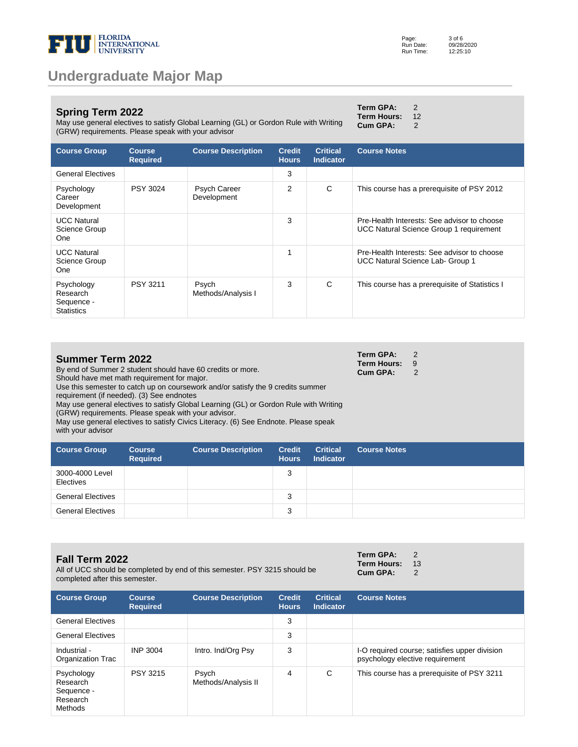

### **Spring Term 2022**

May use general electives to satisfy Global Learning (GL) or Gordon Rule with Writing (GRW) requirements. Please speak with your advisor

|      | Term GPA:       | 2  |
|------|-----------------|----|
|      | Term Hours:     | 12 |
| ting | <b>Cum GPA:</b> | 2  |

| <b>Course Group</b>                                       | <b>Course</b><br><b>Required</b> | <b>Course Description</b>   | <b>Credit</b><br><b>Hours</b> | <b>Critical</b><br>Indicator | <b>Course Notes</b>                                                                           |
|-----------------------------------------------------------|----------------------------------|-----------------------------|-------------------------------|------------------------------|-----------------------------------------------------------------------------------------------|
| <b>General Electives</b>                                  |                                  |                             | 3                             |                              |                                                                                               |
| Psychology<br>Career<br>Development                       | <b>PSY 3024</b>                  | Psych Career<br>Development | 2                             | C                            | This course has a prerequisite of PSY 2012                                                    |
| <b>UCC Natural</b><br>Science Group<br>One                |                                  |                             | 3                             |                              | Pre-Health Interests: See advisor to choose<br><b>UCC Natural Science Group 1 requirement</b> |
| <b>UCC Natural</b><br>Science Group<br><b>One</b>         |                                  |                             | 1                             |                              | Pre-Health Interests: See advisor to choose<br>UCC Natural Science Lab- Group 1               |
| Psychology<br>Research<br>Sequence -<br><b>Statistics</b> | PSY 3211                         | Psych<br>Methods/Analysis I | 3                             | C                            | This course has a prerequisite of Statistics I                                                |

| <b>Summer Term 2022</b>                                                               | Term GPA:            |  |
|---------------------------------------------------------------------------------------|----------------------|--|
|                                                                                       | <b>Term Hours: 9</b> |  |
| By end of Summer 2 student should have 60 credits or more.                            | Cum GPA:             |  |
| Should have met math requirement for major.                                           |                      |  |
| Use this semester to catch up on coursework and/or satisfy the 9 credits summer       |                      |  |
| requirement (if needed). (3) See endnotes                                             |                      |  |
| May use general electives to satisfy Global Learning (GL) or Gordon Rule with Writing |                      |  |
| (GRW) requirements. Please speak with your advisor.                                   |                      |  |

May use general electives to satisfy Civics Literacy. (6) See Endnote. Please speak with your advisor

| <b>Course Group</b>          | <b>Course</b><br><b>Required</b> | <b>Course Description</b> | <b>Credit</b><br><b>Hours</b> | <b>Critical</b><br><b>Indicator</b> | <b>Course Notes</b> |
|------------------------------|----------------------------------|---------------------------|-------------------------------|-------------------------------------|---------------------|
| 3000-4000 Level<br>Electives |                                  |                           | 3                             |                                     |                     |
| <b>General Electives</b>     |                                  |                           | 3                             |                                     |                     |
| <b>General Electives</b>     |                                  |                           | 3                             |                                     |                     |

#### **Fall Term 2022**

All of UCC should be completed by end of this semester. PSY 3215 should be completed after this semester.

| Term GPA:          | 2  |
|--------------------|----|
| <b>Term Hours:</b> | 13 |
| <b>Cum GPA:</b>    | 2  |

| <b>Course Group</b>                                                | <b>Course</b><br><b>Required</b> | <b>Course Description</b>    | <b>Credit</b><br><b>Hours</b> | <b>Critical</b><br><b>Indicator</b> | <b>Course Notes</b>                                                              |
|--------------------------------------------------------------------|----------------------------------|------------------------------|-------------------------------|-------------------------------------|----------------------------------------------------------------------------------|
| <b>General Electives</b>                                           |                                  |                              | 3                             |                                     |                                                                                  |
| <b>General Electives</b>                                           |                                  |                              | 3                             |                                     |                                                                                  |
| Industrial -<br>Organization Trac                                  | <b>INP 3004</b>                  | Intro. Ind/Org Psy           | 3                             |                                     | I-O required course; satisfies upper division<br>psychology elective requirement |
| Psychology<br>Research<br>Sequence -<br>Research<br><b>Methods</b> | <b>PSY 3215</b>                  | Psych<br>Methods/Analysis II | 4                             | C                                   | This course has a prerequisite of PSY 3211                                       |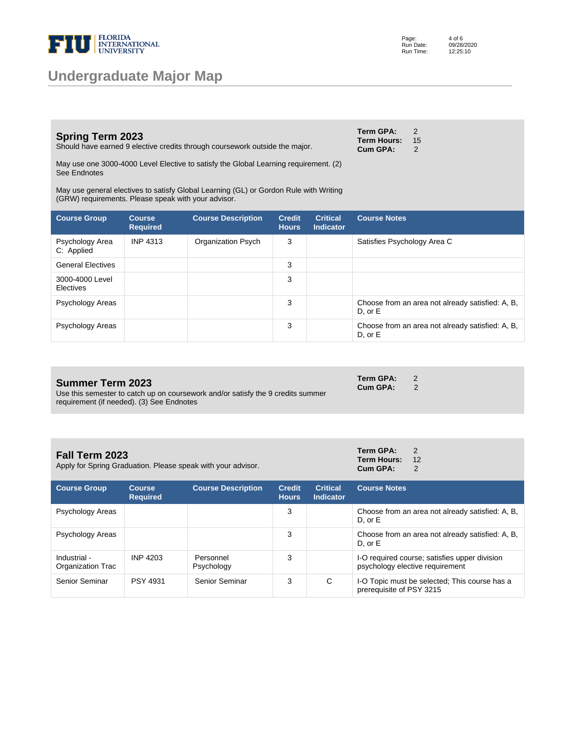

### **Spring Term 2023**

Should have earned 9 elective credits through coursework outside the major.

May use one 3000-4000 Level Elective to satisfy the Global Learning requirement. (2) See Endnotes

May use general electives to satisfy Global Learning (GL) or Gordon Rule with Writing (GRW) requirements. Please speak with your advisor.

| <b>Course Group</b>           | <b>Course</b><br><b>Required</b> | <b>Course Description</b> | <b>Credit</b><br><b>Hours</b> | <b>Critical</b><br><b>Indicator</b> | <b>Course Notes</b>                                             |
|-------------------------------|----------------------------------|---------------------------|-------------------------------|-------------------------------------|-----------------------------------------------------------------|
| Psychology Area<br>C: Applied | <b>INP 4313</b>                  | Organization Psych        | 3                             |                                     | Satisfies Psychology Area C                                     |
| <b>General Electives</b>      |                                  |                           | 3                             |                                     |                                                                 |
| 3000-4000 Level<br>Electives  |                                  |                           | 3                             |                                     |                                                                 |
| Psychology Areas              |                                  |                           | 3                             |                                     | Choose from an area not already satisfied: A, B,<br>$D.$ or $E$ |
| Psychology Areas              |                                  |                           | 3                             |                                     | Choose from an area not already satisfied: A, B,<br>$D.$ or $E$ |

### **Summer Term 2023**

**Fall Term 2023**

Use this semester to catch up on coursework and/or satisfy the 9 credits summer requirement (if needed). (3) See Endnotes

Apply for Spring Graduation. Please speak with your advisor.

| Term GPA:          | 2  |
|--------------------|----|
| <b>Term Hours:</b> | 12 |
| <b>Cum GPA:</b>    | 2  |

**Term GPA:** 2 **Cum GPA:** 2

| <b>Course Group</b>               | <b>Course</b><br><b>Required</b> | <b>Course Description</b> | <b>Credit</b><br><b>Hours</b> | <b>Critical</b><br><b>Indicator</b> | <b>Course Notes</b>                                                              |
|-----------------------------------|----------------------------------|---------------------------|-------------------------------|-------------------------------------|----------------------------------------------------------------------------------|
| Psychology Areas                  |                                  |                           | 3                             |                                     | Choose from an area not already satisfied: A, B,<br>$D.$ or $E$                  |
| Psychology Areas                  |                                  |                           | 3                             |                                     | Choose from an area not already satisfied: A, B,<br>$D.$ or $E$                  |
| Industrial -<br>Organization Trac | INP 4203                         | Personnel<br>Psychology   | 3                             |                                     | I-O required course; satisfies upper division<br>psychology elective requirement |
| Senior Seminar                    | <b>PSY 4931</b>                  | Senior Seminar            | 3                             | С                                   | I-O Topic must be selected; This course has a<br>prerequisite of PSY 3215        |

| Term GPA:   | 2  |
|-------------|----|
| Term Hours: | 15 |
| Cum GPA:    | 2  |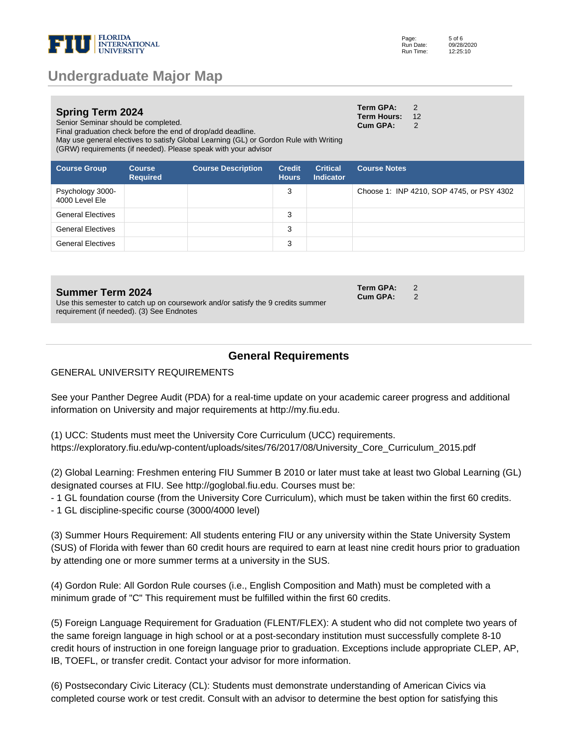

| <b>Spring Term 2024</b>                                     | <b>Term GPA:</b>      |  |
|-------------------------------------------------------------|-----------------------|--|
|                                                             | <b>Term Hours: 12</b> |  |
| Senior Seminar should be completed.                         | Cum GPA:              |  |
| Final graduation check before the end of drop/add deadline. |                       |  |
|                                                             |                       |  |

May use general electives to satisfy Global Learning (GL) or Gordon Rule with Writing (GRW) requirements (if needed). Please speak with your advisor

| <b>Course Group</b>                | <b>Course</b><br><b>Required</b> | <b>Course Description</b> | <b>Credit</b><br><b>Hours</b> | <b>Critical</b><br><b>Indicator</b> | <b>Course Notes</b>                       |
|------------------------------------|----------------------------------|---------------------------|-------------------------------|-------------------------------------|-------------------------------------------|
| Psychology 3000-<br>4000 Level Ele |                                  |                           | 3                             |                                     | Choose 1: INP 4210, SOP 4745, or PSY 4302 |
| <b>General Electives</b>           |                                  |                           | 3                             |                                     |                                           |
| <b>General Electives</b>           |                                  |                           | 3                             |                                     |                                           |
| <b>General Electives</b>           |                                  |                           | 3                             |                                     |                                           |

#### **Summer Term 2024**

Use this semester to catch up on coursework and/or satisfy the 9 credits summer requirement (if needed). (3) See Endnotes

### **General Requirements**

GENERAL UNIVERSITY REQUIREMENTS

See your Panther Degree Audit (PDA) for a real-time update on your academic career progress and additional information on University and major requirements at http://my.fiu.edu.

(1) UCC: Students must meet the University Core Curriculum (UCC) requirements. https://exploratory.fiu.edu/wp-content/uploads/sites/76/2017/08/University\_Core\_Curriculum\_2015.pdf

(2) Global Learning: Freshmen entering FIU Summer B 2010 or later must take at least two Global Learning (GL) designated courses at FIU. See http://goglobal.fiu.edu. Courses must be:

- 1 GL foundation course (from the University Core Curriculum), which must be taken within the first 60 credits.

- 1 GL discipline-specific course (3000/4000 level)

(3) Summer Hours Requirement: All students entering FIU or any university within the State University System (SUS) of Florida with fewer than 60 credit hours are required to earn at least nine credit hours prior to graduation by attending one or more summer terms at a university in the SUS.

(4) Gordon Rule: All Gordon Rule courses (i.e., English Composition and Math) must be completed with a minimum grade of "C" This requirement must be fulfilled within the first 60 credits.

(5) Foreign Language Requirement for Graduation (FLENT/FLEX): A student who did not complete two years of the same foreign language in high school or at a post-secondary institution must successfully complete 8-10 credit hours of instruction in one foreign language prior to graduation. Exceptions include appropriate CLEP, AP, IB, TOEFL, or transfer credit. Contact your advisor for more information.

(6) Postsecondary Civic Literacy (CL): Students must demonstrate understanding of American Civics via completed course work or test credit. Consult with an advisor to determine the best option for satisfying this

**Term GPA:** 2 **Cum GPA:** 2